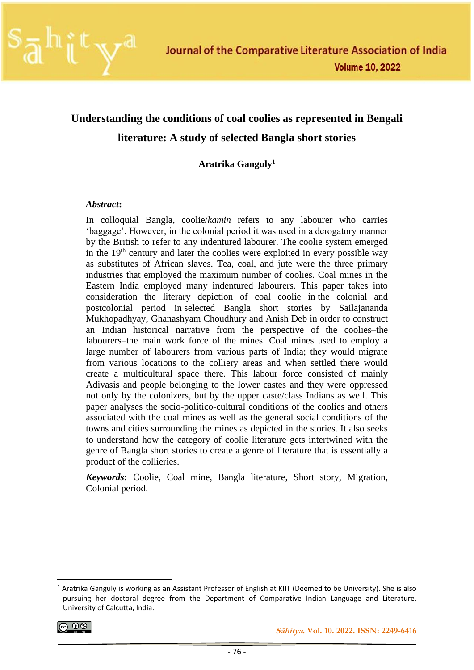

# **Understanding the conditions of coal coolies as represented in Bengali literature: A study of selected Bangla short stories**

**Aratrika Ganguly<sup>1</sup>**

#### *Abstract***:**

In colloquial Bangla, coolie/*kamin* refers to any labourer who carries 'baggage'. However, in the colonial period it was used in a derogatory manner by the British to refer to any indentured labourer. The coolie system emerged in the  $19<sup>th</sup>$  century and later the coolies were exploited in every possible way as substitutes of African slaves. Tea, coal, and jute were the three primary industries that employed the maximum number of coolies. Coal mines in the Eastern India employed many indentured labourers. This paper takes into consideration the literary depiction of coal coolie in the colonial and postcolonial period in selected Bangla short stories by Sailajananda Mukhopadhyay, Ghanashyam Choudhury and Anish Deb in order to construct an Indian historical narrative from the perspective of the coolies–the labourers–the main work force of the mines. Coal mines used to employ a large number of labourers from various parts of India; they would migrate from various locations to the colliery areas and when settled there would create a multicultural space there. This labour force consisted of mainly Adivasis and people belonging to the lower castes and they were oppressed not only by the colonizers, but by the upper caste/class Indians as well. This paper analyses the socio-politico-cultural conditions of the coolies and others associated with the coal mines as well as the general social conditions of the towns and cities surrounding the mines as depicted in the stories. It also seeks to understand how the category of coolie literature gets intertwined with the genre of Bangla short stories to create a genre of literature that is essentially a product of the collieries.

*Keywords***:** Coolie, Coal mine, Bangla literature, Short story, Migration, Colonial period.

$$
\textcircled{\tiny{}}\bullet\textcircled{\tiny{}}\bullet
$$

<sup>&</sup>lt;sup>1</sup> Aratrika Ganguly is working as an Assistant Professor of English at KIIT (Deemed to be University). She is also pursuing her doctoral degree from the Department of Comparative Indian Language and Literature, University of Calcutta, India.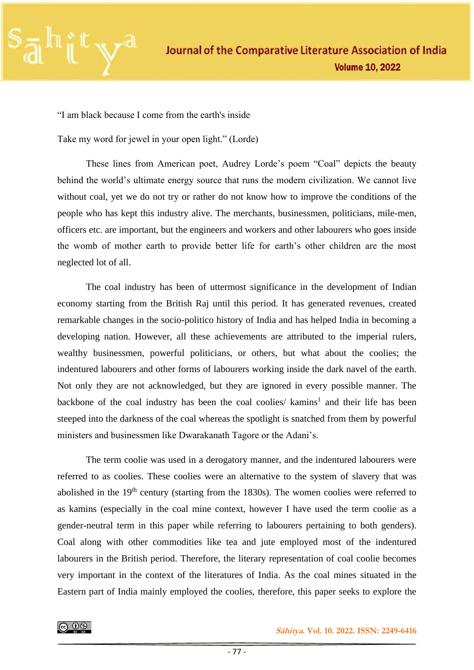

"I am black because I come from the earth's inside

Take my word for jewel in your open light." (Lorde)

These lines from American poet, Audrey Lorde's poem "Coal" depicts the beauty behind the world's ultimate energy source that runs the modern civilization. We cannot live without coal, yet we do not try or rather do not know how to improve the conditions of the people who has kept this industry alive. The merchants, businessmen, politicians, mile-men, officers etc. are important, but the engineers and workers and other labourers who goes inside the womb of mother earth to provide better life for earth's other children are the most neglected lot of all.

The coal industry has been of uttermost significance in the development of Indian economy starting from the British Raj until this period. It has generated revenues, created remarkable changes in the socio-politico history of India and has helped India in becoming a developing nation. However, all these achievements are attributed to the imperial rulers, wealthy businessmen, powerful politicians, or others, but what about the coolies; the indentured labourers and other forms of labourers working inside the dark navel of the earth. Not only they are not acknowledged, but they are ignored in every possible manner. The backbone of the coal industry has been the coal coolies/ kamins<sup>1</sup> and their life has been steeped into the darkness of the coal whereas the spotlight is snatched from them by powerful ministers and businessmen like Dwarakanath Tagore or the Adani's.

The term coolie was used in a derogatory manner, and the indentured labourers were referred to as coolies. These coolies were an alternative to the system of slavery that was abolished in the  $19<sup>th</sup>$  century (starting from the 1830s). The women coolies were referred to as kamins (especially in the coal mine context, however I have used the term coolie as a gender-neutral term in this paper while referring to labourers pertaining to both genders). Coal along with other commodities like tea and jute employed most of the indentured labourers in the British period. Therefore, the literary representation of coal coolie becomes very important in the context of the literatures of India. As the coal mines situated in the Eastern part of India mainly employed the coolies, therefore, this paper seeks to explore the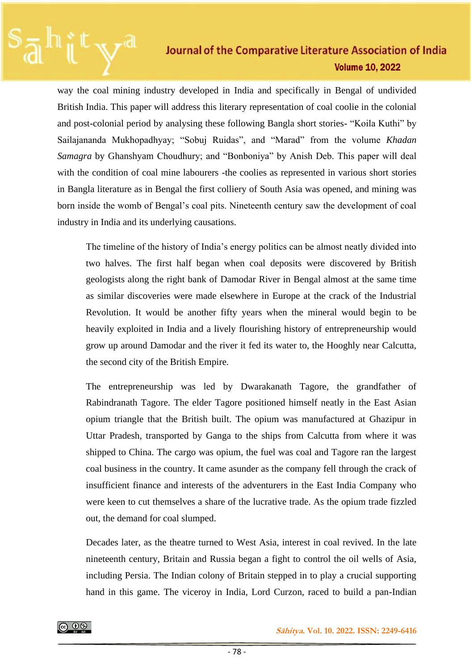way the coal mining industry developed in India and specifically in Bengal of undivided British India. This paper will address this literary representation of coal coolie in the colonial and post-colonial period by analysing these following Bangla short stories- "Koila Kuthi" by Sailajananda Mukhopadhyay; "Sobuj Ruidas", and "Marad" from the volume *Khadan Samagra* by Ghanshyam Choudhury; and "Bonboniya" by Anish Deb. This paper will deal with the condition of coal mine labourers -the coolies as represented in various short stories in Bangla literature as in Bengal the first colliery of South Asia was opened, and mining was born inside the womb of Bengal's coal pits. Nineteenth century saw the development of coal industry in India and its underlying causations.

The timeline of the history of India's energy politics can be almost neatly divided into two halves. The first half began when coal deposits were discovered by British geologists along the right bank of Damodar River in Bengal almost at the same time as similar discoveries were made elsewhere in Europe at the crack of the Industrial Revolution. It would be another fifty years when the mineral would begin to be heavily exploited in India and a lively flourishing history of entrepreneurship would grow up around Damodar and the river it fed its water to, the Hooghly near Calcutta, the second city of the British Empire.

The entrepreneurship was led by Dwarakanath Tagore, the grandfather of Rabindranath Tagore. The elder Tagore positioned himself neatly in the East Asian opium triangle that the British built. The opium was manufactured at Ghazipur in Uttar Pradesh, transported by Ganga to the ships from Calcutta from where it was shipped to China. The cargo was opium, the fuel was coal and Tagore ran the largest coal business in the country. It came asunder as the company fell through the crack of insufficient finance and interests of the adventurers in the East India Company who were keen to cut themselves a share of the lucrative trade. As the opium trade fizzled out, the demand for coal slumped.

Decades later, as the theatre turned to West Asia, interest in coal revived. In the late nineteenth century, Britain and Russia began a fight to control the oil wells of Asia, including Persia. The Indian colony of Britain stepped in to play a crucial supporting hand in this game. The viceroy in India, Lord Curzon, raced to build a pan-Indian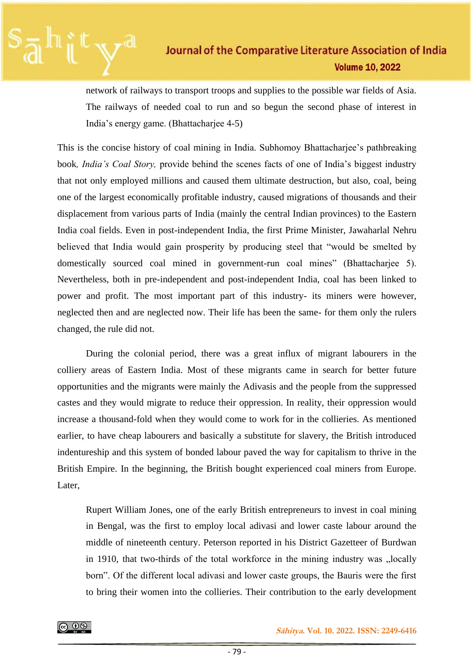network of railways to transport troops and supplies to the possible war fields of Asia. The railways of needed coal to run and so begun the second phase of interest in India's energy game. (Bhattacharjee 4-5)

This is the concise history of coal mining in India. Subhomoy Bhattacharjee's pathbreaking book*, India's Coal Story,* provide behind the scenes facts of one of India's biggest industry that not only employed millions and caused them ultimate destruction, but also, coal, being one of the largest economically profitable industry, caused migrations of thousands and their displacement from various parts of India (mainly the central Indian provinces) to the Eastern India coal fields. Even in post-independent India, the first Prime Minister, Jawaharlal Nehru believed that India would gain prosperity by producing steel that "would be smelted by domestically sourced coal mined in government-run coal mines" (Bhattacharjee 5). Nevertheless, both in pre-independent and post-independent India, coal has been linked to power and profit. The most important part of this industry- its miners were however, neglected then and are neglected now. Their life has been the same- for them only the rulers changed, the rule did not.

During the colonial period, there was a great influx of migrant labourers in the colliery areas of Eastern India. Most of these migrants came in search for better future opportunities and the migrants were mainly the Adivasis and the people from the suppressed castes and they would migrate to reduce their oppression. In reality, their oppression would increase a thousand-fold when they would come to work for in the collieries. As mentioned earlier, to have cheap labourers and basically a substitute for slavery, the British introduced indentureship and this system of bonded labour paved the way for capitalism to thrive in the British Empire. In the beginning, the British bought experienced coal miners from Europe. Later,

Rupert William Jones, one of the early British entrepreneurs to invest in coal mining in Bengal, was the first to employ local adivasi and lower caste labour around the middle of nineteenth century. Peterson reported in his District Gazetteer of Burdwan in 1910, that two-thirds of the total workforce in the mining industry was "locally born". Of the different local adivasi and lower caste groups, the Bauris were the first to bring their women into the collieries. Their contribution to the early development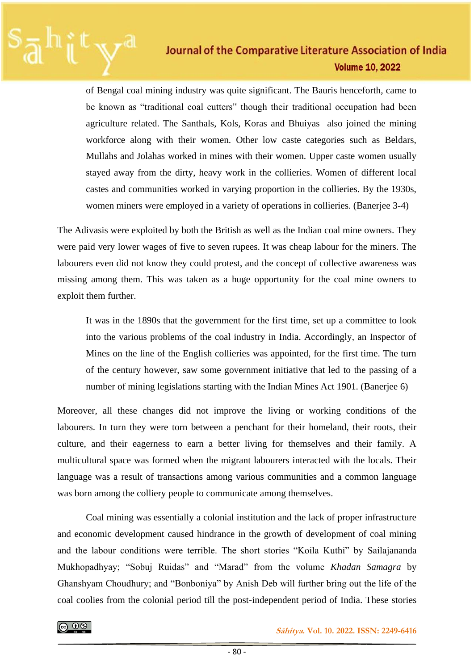of Bengal coal mining industry was quite significant. The Bauris henceforth, came to be known as "traditional coal cutters" though their traditional occupation had been agriculture related. The Santhals, Kols, Koras and Bhuiyas also joined the mining workforce along with their women. Other low caste categories such as Beldars, Mullahs and Jolahas worked in mines with their women. Upper caste women usually stayed away from the dirty, heavy work in the collieries. Women of different local castes and communities worked in varying proportion in the collieries. By the 1930s, women miners were employed in a variety of operations in collieries. (Banerjee 3-4)

The Adivasis were exploited by both the British as well as the Indian coal mine owners. They were paid very lower wages of five to seven rupees. It was cheap labour for the miners. The labourers even did not know they could protest, and the concept of collective awareness was missing among them. This was taken as a huge opportunity for the coal mine owners to exploit them further.

It was in the 1890s that the government for the first time, set up a committee to look into the various problems of the coal industry in India. Accordingly, an Inspector of Mines on the line of the English collieries was appointed, for the first time. The turn of the century however, saw some government initiative that led to the passing of a number of mining legislations starting with the Indian Mines Act 1901. (Banerjee 6)

Moreover, all these changes did not improve the living or working conditions of the labourers. In turn they were torn between a penchant for their homeland, their roots, their culture, and their eagerness to earn a better living for themselves and their family. A multicultural space was formed when the migrant labourers interacted with the locals. Their language was a result of transactions among various communities and a common language was born among the colliery people to communicate among themselves.

Coal mining was essentially a colonial institution and the lack of proper infrastructure and economic development caused hindrance in the growth of development of coal mining and the labour conditions were terrible. The short stories "Koila Kuthi" by Sailajananda Mukhopadhyay; "Sobuj Ruidas" and "Marad" from the volume *Khadan Samagra* by Ghanshyam Choudhury; and "Bonboniya" by Anish Deb will further bring out the life of the coal coolies from the colonial period till the post-independent period of India. These stories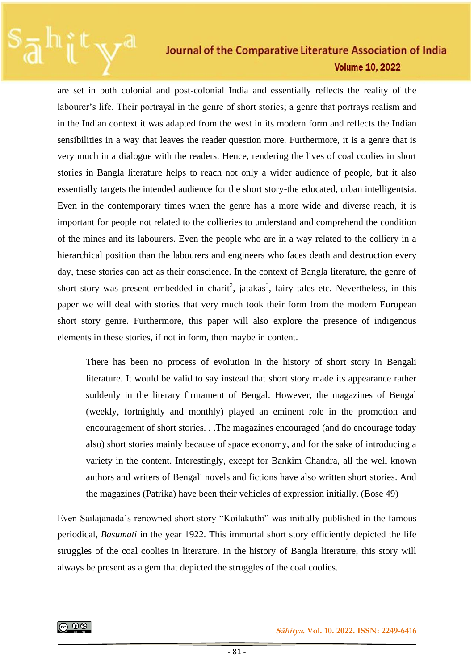are set in both colonial and post-colonial India and essentially reflects the reality of the labourer's life. Their portrayal in the genre of short stories; a genre that portrays realism and in the Indian context it was adapted from the west in its modern form and reflects the Indian sensibilities in a way that leaves the reader question more. Furthermore, it is a genre that is very much in a dialogue with the readers. Hence, rendering the lives of coal coolies in short stories in Bangla literature helps to reach not only a wider audience of people, but it also essentially targets the intended audience for the short story-the educated, urban intelligentsia. Even in the contemporary times when the genre has a more wide and diverse reach, it is important for people not related to the collieries to understand and comprehend the condition of the mines and its labourers. Even the people who are in a way related to the colliery in a hierarchical position than the labourers and engineers who faces death and destruction every day, these stories can act as their conscience. In the context of Bangla literature, the genre of short story was present embedded in charit<sup>2</sup>, jatakas<sup>3</sup>, fairy tales etc. Nevertheless, in this paper we will deal with stories that very much took their form from the modern European short story genre. Furthermore, this paper will also explore the presence of indigenous elements in these stories, if not in form, then maybe in content.

There has been no process of evolution in the history of short story in Bengali literature. It would be valid to say instead that short story made its appearance rather suddenly in the literary firmament of Bengal. However, the magazines of Bengal (weekly, fortnightly and monthly) played an eminent role in the promotion and encouragement of short stories. . .The magazines encouraged (and do encourage today also) short stories mainly because of space economy, and for the sake of introducing a variety in the content. Interestingly, except for Bankim Chandra, all the well known authors and writers of Bengali novels and fictions have also written short stories. And the magazines (Patrika) have been their vehicles of expression initially. (Bose 49)

Even Sailajanada's renowned short story "Koilakuthi" was initially published in the famous periodical, *Basumati* in the year 1922. This immortal short story efficiently depicted the life struggles of the coal coolies in literature. In the history of Bangla literature, this story will always be present as a gem that depicted the struggles of the coal coolies.

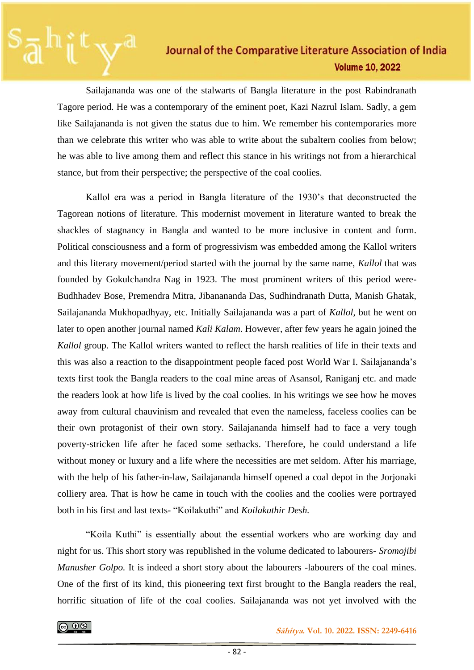Sailajananda was one of the stalwarts of Bangla literature in the post Rabindranath Tagore period. He was a contemporary of the eminent poet, Kazi Nazrul Islam. Sadly, a gem like Sailajananda is not given the status due to him. We remember his contemporaries more than we celebrate this writer who was able to write about the subaltern coolies from below; he was able to live among them and reflect this stance in his writings not from a hierarchical stance, but from their perspective; the perspective of the coal coolies.

Kallol era was a period in Bangla literature of the 1930's that deconstructed the Tagorean notions of literature. This modernist movement in literature wanted to break the shackles of stagnancy in Bangla and wanted to be more inclusive in content and form. Political consciousness and a form of progressivism was embedded among the Kallol writers and this literary movement/period started with the journal by the same name, *Kallol* that was founded by Gokulchandra Nag in 1923. The most prominent writers of this period were-Budhhadev Bose, Premendra Mitra, Jibanananda Das, Sudhindranath Dutta, Manish Ghatak, Sailajananda Mukhopadhyay, etc. Initially Sailajananda was a part of *Kallol*, but he went on later to open another journal named *Kali Kalam*. However, after few years he again joined the *Kallol* group. The Kallol writers wanted to reflect the harsh realities of life in their texts and this was also a reaction to the disappointment people faced post World War I. Sailajananda's texts first took the Bangla readers to the coal mine areas of Asansol, Raniganj etc. and made the readers look at how life is lived by the coal coolies. In his writings we see how he moves away from cultural chauvinism and revealed that even the nameless, faceless coolies can be their own protagonist of their own story. Sailajananda himself had to face a very tough poverty-stricken life after he faced some setbacks. Therefore, he could understand a life without money or luxury and a life where the necessities are met seldom. After his marriage, with the help of his father-in-law, Sailajananda himself opened a coal depot in the Jorjonaki colliery area. That is how he came in touch with the coolies and the coolies were portrayed both in his first and last texts- "Koilakuthi" and *Koilakuthir Desh.* 

"Koila Kuthi" is essentially about the essential workers who are working day and night for us. This short story was republished in the volume dedicated to labourers- *Sromojibi Manusher Golpo.* It is indeed a short story about the labourers -labourers of the coal mines. One of the first of its kind, this pioneering text first brought to the Bangla readers the real, horrific situation of life of the coal coolies. Sailajananda was not yet involved with the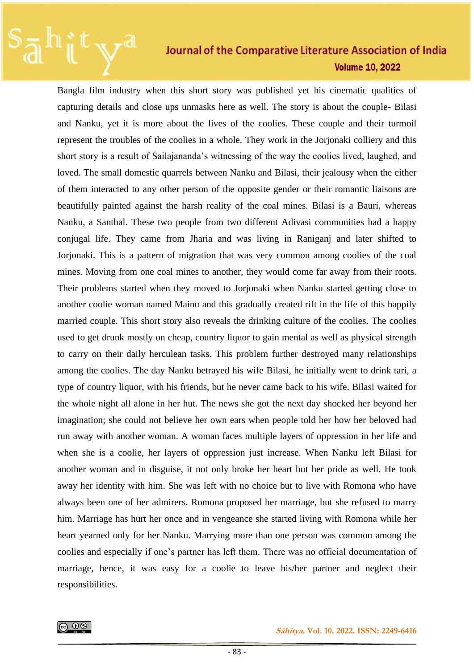Bangla film industry when this short story was published yet his cinematic qualities of capturing details and close ups unmasks here as well. The story is about the couple- Bilasi and Nanku, yet it is more about the lives of the coolies. These couple and their turmoil represent the troubles of the coolies in a whole. They work in the Jorjonaki colliery and this short story is a result of Sailajananda's witnessing of the way the coolies lived, laughed, and loved. The small domestic quarrels between Nanku and Bilasi, their jealousy when the either of them interacted to any other person of the opposite gender or their romantic liaisons are beautifully painted against the harsh reality of the coal mines. Bilasi is a Bauri, whereas Nanku, a Santhal. These two people from two different Adivasi communities had a happy conjugal life. They came from Jharia and was living in Raniganj and later shifted to Jorjonaki. This is a pattern of migration that was very common among coolies of the coal mines. Moving from one coal mines to another, they would come far away from their roots. Their problems started when they moved to Jorjonaki when Nanku started getting close to another coolie woman named Mainu and this gradually created rift in the life of this happily married couple. This short story also reveals the drinking culture of the coolies. The coolies used to get drunk mostly on cheap, country liquor to gain mental as well as physical strength to carry on their daily herculean tasks. This problem further destroyed many relationships among the coolies. The day Nanku betrayed his wife Bilasi, he initially went to drink tari, a type of country liquor, with his friends, but he never came back to his wife. Bilasi waited for the whole night all alone in her hut. The news she got the next day shocked her beyond her imagination; she could not believe her own ears when people told her how her beloved had run away with another woman. A woman faces multiple layers of oppression in her life and when she is a coolie, her layers of oppression just increase. When Nanku left Bilasi for another woman and in disguise, it not only broke her heart but her pride as well. He took away her identity with him. She was left with no choice but to live with Romona who have always been one of her admirers. Romona proposed her marriage, but she refused to marry him. Marriage has hurt her once and in vengeance she started living with Romona while her heart yearned only for her Nanku. Marrying more than one person was common among the coolies and especially if one's partner has left them. There was no official documentation of marriage, hence, it was easy for a coolie to leave his/her partner and neglect their responsibilities.

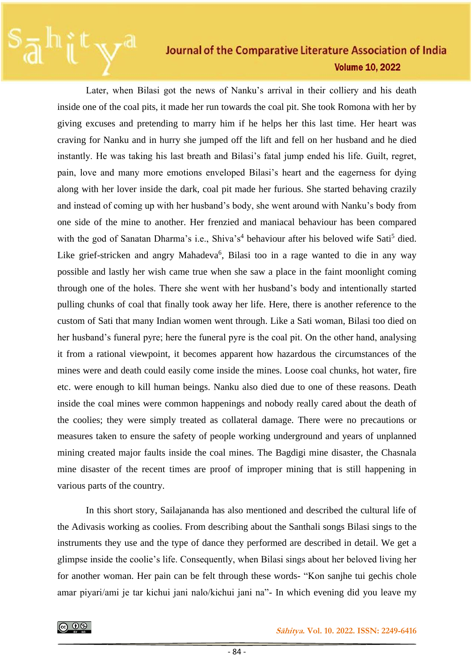Later, when Bilasi got the news of Nanku's arrival in their colliery and his death inside one of the coal pits, it made her run towards the coal pit. She took Romona with her by giving excuses and pretending to marry him if he helps her this last time. Her heart was craving for Nanku and in hurry she jumped off the lift and fell on her husband and he died instantly. He was taking his last breath and Bilasi's fatal jump ended his life. Guilt, regret, pain, love and many more emotions enveloped Bilasi's heart and the eagerness for dying along with her lover inside the dark, coal pit made her furious. She started behaving crazily and instead of coming up with her husband's body, she went around with Nanku's body from one side of the mine to another. Her frenzied and maniacal behaviour has been compared with the god of Sanatan Dharma's i.e., Shiva's<sup>4</sup> behaviour after his beloved wife Sati<sup>5</sup> died. Like grief-stricken and angry Mahadeva<sup>6</sup>, Bilasi too in a rage wanted to die in any way possible and lastly her wish came true when she saw a place in the faint moonlight coming through one of the holes. There she went with her husband's body and intentionally started pulling chunks of coal that finally took away her life. Here, there is another reference to the custom of Sati that many Indian women went through. Like a Sati woman, Bilasi too died on her husband's funeral pyre; here the funeral pyre is the coal pit. On the other hand, analysing it from a rational viewpoint, it becomes apparent how hazardous the circumstances of the mines were and death could easily come inside the mines. Loose coal chunks, hot water, fire etc. were enough to kill human beings. Nanku also died due to one of these reasons. Death inside the coal mines were common happenings and nobody really cared about the death of the coolies; they were simply treated as collateral damage. There were no precautions or measures taken to ensure the safety of people working underground and years of unplanned mining created major faults inside the coal mines. The Bagdigi mine disaster, the Chasnala mine disaster of the recent times are proof of improper mining that is still happening in various parts of the country.

In this short story, Sailajananda has also mentioned and described the cultural life of the Adivasis working as coolies. From describing about the Santhali songs Bilasi sings to the instruments they use and the type of dance they performed are described in detail. We get a glimpse inside the coolie's life. Consequently, when Bilasi sings about her beloved living her for another woman. Her pain can be felt through these words- "Kon sanjhe tui gechis chole amar piyari/ami je tar kichui jani nalo/kichui jani na"- In which evening did you leave my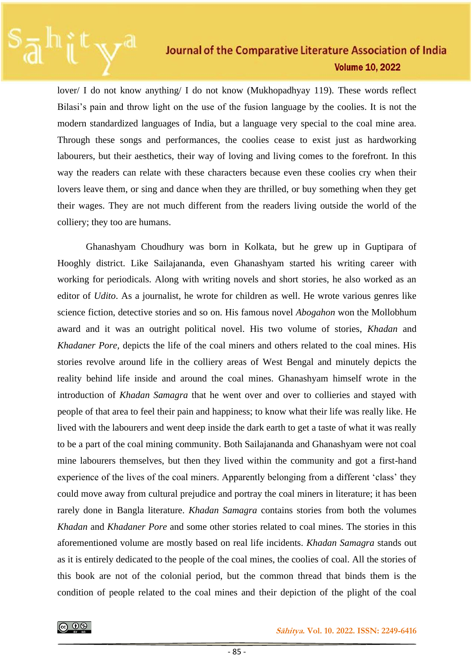lover/ I do not know anything/ I do not know (Mukhopadhyay 119). These words reflect Bilasi's pain and throw light on the use of the fusion language by the coolies. It is not the modern standardized languages of India, but a language very special to the coal mine area. Through these songs and performances, the coolies cease to exist just as hardworking labourers, but their aesthetics, their way of loving and living comes to the forefront. In this way the readers can relate with these characters because even these coolies cry when their lovers leave them, or sing and dance when they are thrilled, or buy something when they get their wages. They are not much different from the readers living outside the world of the colliery; they too are humans.

Ghanashyam Choudhury was born in Kolkata, but he grew up in Guptipara of Hooghly district. Like Sailajananda, even Ghanashyam started his writing career with working for periodicals. Along with writing novels and short stories, he also worked as an editor of *Udito*. As a journalist, he wrote for children as well. He wrote various genres like science fiction, detective stories and so on. His famous novel *Abogahon* won the Mollobhum award and it was an outright political novel. His two volume of stories, *Khadan* and *Khadaner Pore,* depicts the life of the coal miners and others related to the coal mines. His stories revolve around life in the colliery areas of West Bengal and minutely depicts the reality behind life inside and around the coal mines. Ghanashyam himself wrote in the introduction of *Khadan Samagra* that he went over and over to collieries and stayed with people of that area to feel their pain and happiness; to know what their life was really like. He lived with the labourers and went deep inside the dark earth to get a taste of what it was really to be a part of the coal mining community. Both Sailajananda and Ghanashyam were not coal mine labourers themselves, but then they lived within the community and got a first-hand experience of the lives of the coal miners. Apparently belonging from a different 'class' they could move away from cultural prejudice and portray the coal miners in literature; it has been rarely done in Bangla literature. *Khadan Samagra* contains stories from both the volumes *Khadan* and *Khadaner Pore* and some other stories related to coal mines. The stories in this aforementioned volume are mostly based on real life incidents. *Khadan Samagra* stands out as it is entirely dedicated to the people of the coal mines, the coolies of coal. All the stories of this book are not of the colonial period, but the common thread that binds them is the condition of people related to the coal mines and their depiction of the plight of the coal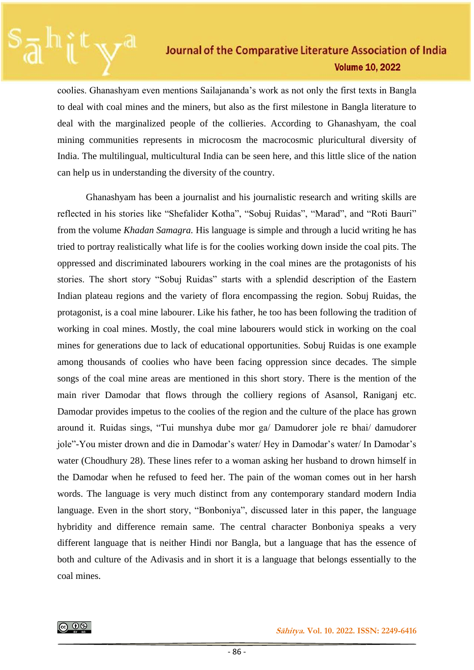coolies. Ghanashyam even mentions Sailajananda's work as not only the first texts in Bangla to deal with coal mines and the miners, but also as the first milestone in Bangla literature to deal with the marginalized people of the collieries. According to Ghanashyam, the coal mining communities represents in microcosm the macrocosmic pluricultural diversity of India. The multilingual, multicultural India can be seen here, and this little slice of the nation can help us in understanding the diversity of the country.

Ghanashyam has been a journalist and his journalistic research and writing skills are reflected in his stories like "Shefalider Kotha", "Sobuj Ruidas", "Marad", and "Roti Bauri" from the volume *Khadan Samagra.* His language is simple and through a lucid writing he has tried to portray realistically what life is for the coolies working down inside the coal pits. The oppressed and discriminated labourers working in the coal mines are the protagonists of his stories. The short story "Sobuj Ruidas" starts with a splendid description of the Eastern Indian plateau regions and the variety of flora encompassing the region. Sobuj Ruidas, the protagonist, is a coal mine labourer. Like his father, he too has been following the tradition of working in coal mines. Mostly, the coal mine labourers would stick in working on the coal mines for generations due to lack of educational opportunities. Sobuj Ruidas is one example among thousands of coolies who have been facing oppression since decades. The simple songs of the coal mine areas are mentioned in this short story. There is the mention of the main river Damodar that flows through the colliery regions of Asansol, Raniganj etc. Damodar provides impetus to the coolies of the region and the culture of the place has grown around it. Ruidas sings, "Tui munshya dube mor ga/ Damudorer jole re bhai/ damudorer jole"-You mister drown and die in Damodar's water/ Hey in Damodar's water/ In Damodar's water (Choudhury 28). These lines refer to a woman asking her husband to drown himself in the Damodar when he refused to feed her. The pain of the woman comes out in her harsh words. The language is very much distinct from any contemporary standard modern India language. Even in the short story, "Bonboniya", discussed later in this paper, the language hybridity and difference remain same. The central character Bonboniya speaks a very different language that is neither Hindi nor Bangla, but a language that has the essence of both and culture of the Adivasis and in short it is a language that belongs essentially to the coal mines.



 **Sāhitya. Vol. 10. 2022. ISSN: 2249-6416**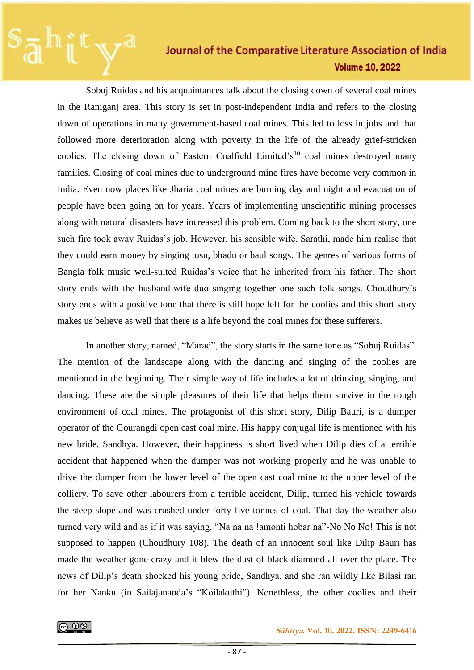Sobuj Ruidas and his acquaintances talk about the closing down of several coal mines in the Raniganj area. This story is set in post-independent India and refers to the closing down of operations in many government-based coal mines. This led to loss in jobs and that followed more deterioration along with poverty in the life of the already grief-stricken coolies. The closing down of Eastern Coalfield Limited's<sup>10</sup> coal mines destroyed many families. Closing of coal mines due to underground mine fires have become very common in India. Even now places like Jharia coal mines are burning day and night and evacuation of people have been going on for years. Years of implementing unscientific mining processes along with natural disasters have increased this problem. Coming back to the short story, one such fire took away Ruidas's job. However, his sensible wife, Sarathi, made him realise that they could earn money by singing tusu, bhadu or baul songs. The genres of various forms of Bangla folk music well-suited Ruidas's voice that he inherited from his father. The short story ends with the husband-wife duo singing together one such folk songs. Choudhury's story ends with a positive tone that there is still hope left for the coolies and this short story makes us believe as well that there is a life beyond the coal mines for these sufferers.

In another story, named, "Marad", the story starts in the same tone as "Sobuj Ruidas". The mention of the landscape along with the dancing and singing of the coolies are mentioned in the beginning. Their simple way of life includes a lot of drinking, singing, and dancing. These are the simple pleasures of their life that helps them survive in the rough environment of coal mines. The protagonist of this short story, Dilip Bauri, is a dumper operator of the Gourangdi open cast coal mine. His happy conjugal life is mentioned with his new bride, Sandhya. However, their happiness is short lived when Dilip dies of a terrible accident that happened when the dumper was not working properly and he was unable to drive the dumper from the lower level of the open cast coal mine to the upper level of the colliery. To save other labourers from a terrible accident, Dilip, turned his vehicle towards the steep slope and was crushed under forty-five tonnes of coal. That day the weather also turned very wild and as if it was saying, "Na na na !amonti hobar na"-No No No! This is not supposed to happen (Choudhury 108). The death of an innocent soul like Dilip Bauri has made the weather gone crazy and it blew the dust of black diamond all over the place. The news of Dilip's death shocked his young bride, Sandhya, and she ran wildly like Bilasi ran for her Nanku (in Sailajananda's "Koilakuthi"). Nonethless, the other coolies and their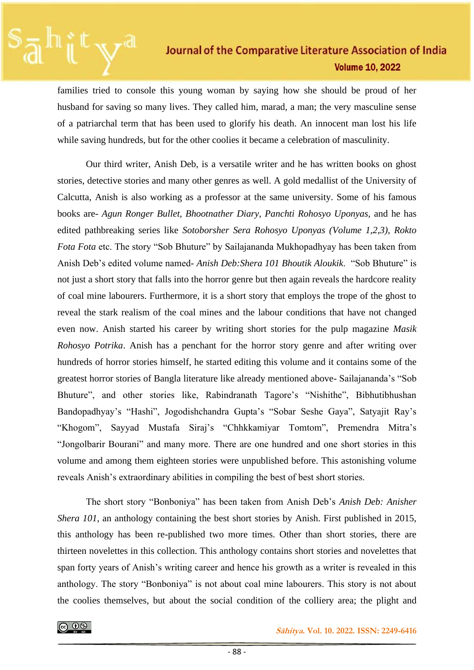families tried to console this young woman by saying how she should be proud of her husband for saving so many lives. They called him, marad, a man; the very masculine sense of a patriarchal term that has been used to glorify his death. An innocent man lost his life while saving hundreds, but for the other coolies it became a celebration of masculinity.

Our third writer, Anish Deb, is a versatile writer and he has written books on ghost stories, detective stories and many other genres as well. A gold medallist of the University of Calcutta, Anish is also working as a professor at the same university. Some of his famous books are*- Agun Ronger Bullet, Bhootnather Diary, Panchti Rohosyo Uponyas,* and he has edited pathbreaking series like *Sotoborsher Sera Rohosyo Uponyas (Volume 1,2,3), Rokto Fota Fota* etc. The story "Sob Bhuture" by Sailajananda Mukhopadhyay has been taken from Anish Deb's edited volume named- *Anish Deb:Shera 101 Bhoutik Aloukik*. "Sob Bhuture" is not just a short story that falls into the horror genre but then again reveals the hardcore reality of coal mine labourers. Furthermore, it is a short story that employs the trope of the ghost to reveal the stark realism of the coal mines and the labour conditions that have not changed even now. Anish started his career by writing short stories for the pulp magazine *Masik Rohosyo Potrika*. Anish has a penchant for the horror story genre and after writing over hundreds of horror stories himself, he started editing this volume and it contains some of the greatest horror stories of Bangla literature like already mentioned above- Sailajananda's "Sob Bhuture", and other stories like, Rabindranath Tagore's "Nishithe", Bibhutibhushan Bandopadhyay's "Hashi", Jogodishchandra Gupta's "Sobar Seshe Gaya", Satyajit Ray's "Khogom", Sayyad Mustafa Siraj's "Chhkkamiyar Tomtom", Premendra Mitra's "Jongolbarir Bourani" and many more. There are one hundred and one short stories in this volume and among them eighteen stories were unpublished before. This astonishing volume reveals Anish's extraordinary abilities in compiling the best of best short stories.

The short story "Bonboniya" has been taken from Anish Deb's *Anish Deb: Anisher Shera 101*, an anthology containing the best short stories by Anish. First published in 2015, this anthology has been re-published two more times. Other than short stories, there are thirteen novelettes in this collection. This anthology contains short stories and novelettes that span forty years of Anish's writing career and hence his growth as a writer is revealed in this anthology. The story "Bonboniya" is not about coal mine labourers. This story is not about the coolies themselves, but about the social condition of the colliery area; the plight and

 **Sāhitya. Vol. 10. 2022. ISSN: 2249-6416**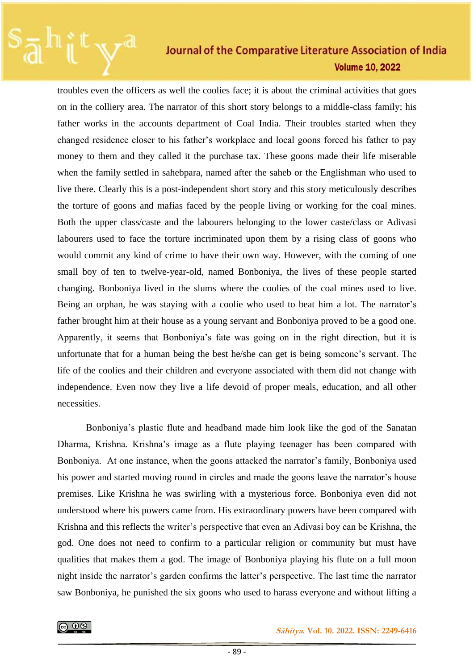troubles even the officers as well the coolies face; it is about the criminal activities that goes on in the colliery area. The narrator of this short story belongs to a middle-class family; his father works in the accounts department of Coal India. Their troubles started when they changed residence closer to his father's workplace and local goons forced his father to pay money to them and they called it the purchase tax. These goons made their life miserable when the family settled in sahebpara, named after the saheb or the Englishman who used to live there. Clearly this is a post-independent short story and this story meticulously describes the torture of goons and mafias faced by the people living or working for the coal mines. Both the upper class/caste and the labourers belonging to the lower caste/class or Adivasi labourers used to face the torture incriminated upon them by a rising class of goons who would commit any kind of crime to have their own way. However, with the coming of one small boy of ten to twelve-year-old, named Bonboniya, the lives of these people started changing. Bonboniya lived in the slums where the coolies of the coal mines used to live. Being an orphan, he was staying with a coolie who used to beat him a lot. The narrator's father brought him at their house as a young servant and Bonboniya proved to be a good one. Apparently, it seems that Bonboniya's fate was going on in the right direction, but it is unfortunate that for a human being the best he/she can get is being someone's servant. The life of the coolies and their children and everyone associated with them did not change with independence. Even now they live a life devoid of proper meals, education, and all other necessities.

Bonboniya's plastic flute and headband made him look like the god of the Sanatan Dharma, Krishna. Krishna's image as a flute playing teenager has been compared with Bonboniya. At one instance, when the goons attacked the narrator's family, Bonboniya used his power and started moving round in circles and made the goons leave the narrator's house premises. Like Krishna he was swirling with a mysterious force. Bonboniya even did not understood where his powers came from. His extraordinary powers have been compared with Krishna and this reflects the writer's perspective that even an Adivasi boy can be Krishna, the god. One does not need to confirm to a particular religion or community but must have qualities that makes them a god. The image of Bonboniya playing his flute on a full moon night inside the narrator's garden confirms the latter's perspective. The last time the narrator saw Bonboniya, he punished the six goons who used to harass everyone and without lifting a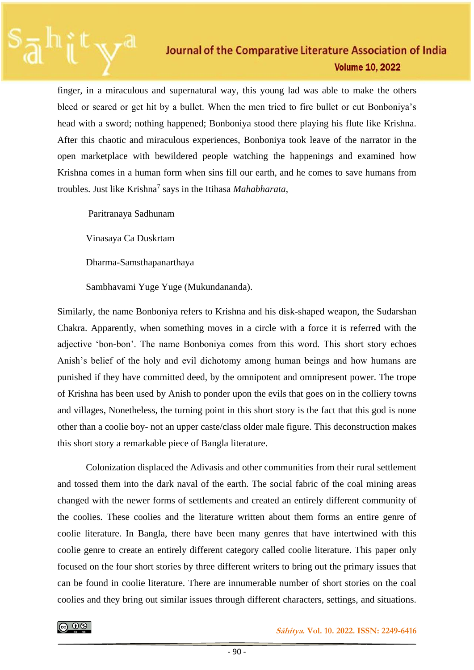finger, in a miraculous and supernatural way, this young lad was able to make the others bleed or scared or get hit by a bullet. When the men tried to fire bullet or cut Bonboniya's head with a sword; nothing happened; Bonboniya stood there playing his flute like Krishna. After this chaotic and miraculous experiences, Bonboniya took leave of the narrator in the open marketplace with bewildered people watching the happenings and examined how Krishna comes in a human form when sins fill our earth, and he comes to save humans from troubles. Just like Krishna<sup>7</sup> says in the Itihasa *Mahabharata*,

Paritranaya Sadhunam

Vinasaya Ca Duskrtam

Dharma-Samsthapanarthaya

Sambhavami Yuge Yuge (Mukundananda).

Similarly, the name Bonboniya refers to Krishna and his disk-shaped weapon, the Sudarshan Chakra. Apparently, when something moves in a circle with a force it is referred with the adjective 'bon-bon'. The name Bonboniya comes from this word. This short story echoes Anish's belief of the holy and evil dichotomy among human beings and how humans are punished if they have committed deed, by the omnipotent and omnipresent power. The trope of Krishna has been used by Anish to ponder upon the evils that goes on in the colliery towns and villages, Nonetheless, the turning point in this short story is the fact that this god is none other than a coolie boy- not an upper caste/class older male figure. This deconstruction makes this short story a remarkable piece of Bangla literature.

Colonization displaced the Adivasis and other communities from their rural settlement and tossed them into the dark naval of the earth. The social fabric of the coal mining areas changed with the newer forms of settlements and created an entirely different community of the coolies. These coolies and the literature written about them forms an entire genre of coolie literature. In Bangla, there have been many genres that have intertwined with this coolie genre to create an entirely different category called coolie literature. This paper only focused on the four short stories by three different writers to bring out the primary issues that can be found in coolie literature. There are innumerable number of short stories on the coal coolies and they bring out similar issues through different characters, settings, and situations.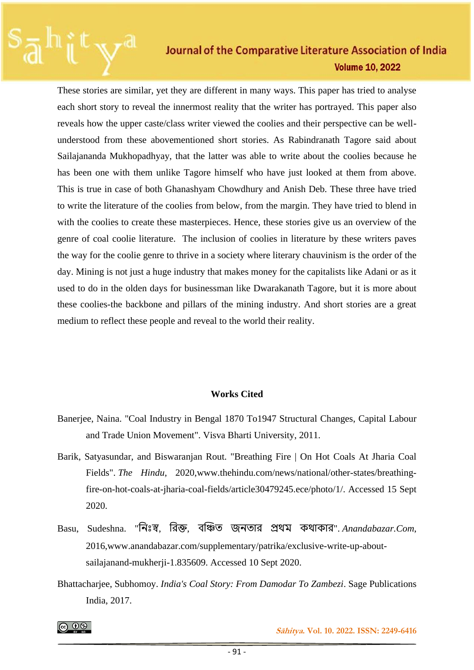These stories are similar, yet they are different in many ways. This paper has tried to analyse each short story to reveal the innermost reality that the writer has portrayed. This paper also reveals how the upper caste/class writer viewed the coolies and their perspective can be wellunderstood from these abovementioned short stories. As Rabindranath Tagore said about Sailajananda Mukhopadhyay, that the latter was able to write about the coolies because he has been one with them unlike Tagore himself who have just looked at them from above. This is true in case of both Ghanashyam Chowdhury and Anish Deb. These three have tried to write the literature of the coolies from below, from the margin. They have tried to blend in with the coolies to create these masterpieces. Hence, these stories give us an overview of the genre of coal coolie literature. The inclusion of coolies in literature by these writers paves the way for the coolie genre to thrive in a society where literary chauvinism is the order of the day. Mining is not just a huge industry that makes money for the capitalists like Adani or as it used to do in the olden days for businessman like Dwarakanath Tagore, but it is more about these coolies-the backbone and pillars of the mining industry. And short stories are a great medium to reflect these people and reveal to the world their reality.

#### **Works Cited**

- Banerjee, Naina. "Coal Industry in Bengal 1870 To1947 Structural Changes, Capital Labour and Trade Union Movement". Visva Bharti University, 2011.
- Barik, Satyasundar, and Biswaranjan Rout. "Breathing Fire | On Hot Coals At Jharia Coal Fields". *The Hindu*, 2020,www.thehindu.com/news/national/other-states/breathingfire-on-hot-coals-at-jharia-coal-fields/article30479245.ece/photo/1/. Accessed 15 Sept 2020.
- Basu, Sudeshna. "নিঃস্ব, রিক্ত, বঞ্চিত জনতার প্রথম কথাকার". *Anandabazar.Com*, 2016,www.anandabazar.com/supplementary/patrika/exclusive-write-up-aboutsailajanand-mukherji-1.835609. Accessed 10 Sept 2020.
- Bhattacharjee, Subhomoy. *India's Coal Story: From Damodar To Zambezi*. Sage Publications India, 2017.

ெ 0

 **Sāhitya. Vol. 10. 2022. ISSN: 2249-6416**